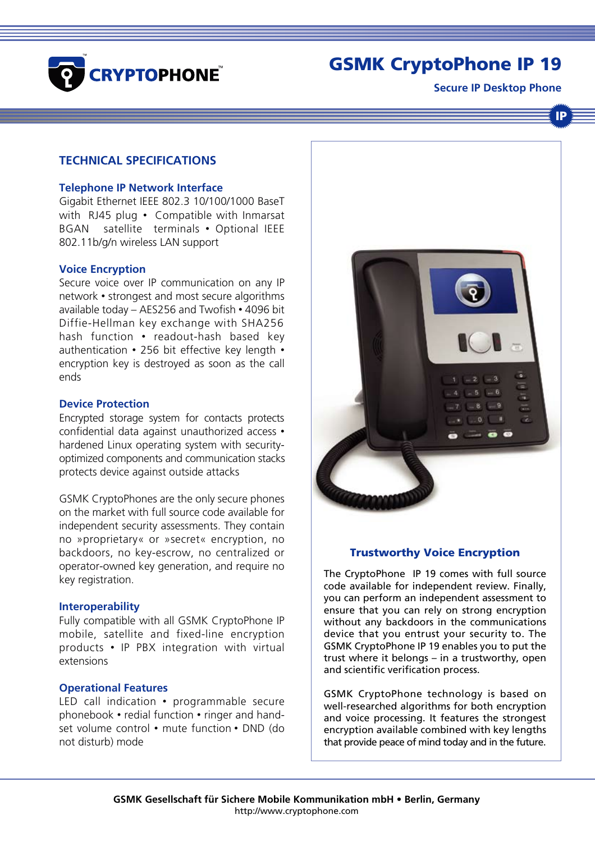

# GSMK CryptoPhone IP 19

**Secure IP Desktop Phone**

IP

# **TECHNICAL SPECIFICATIONS**

### **Telephone IP Network Interface**

Gigabit Ethernet IEEE 802.3 10/100/1000 BaseT with RJ45 plug • Compatible with Inmarsat BGAN satellite terminals • Optional IEEE 802.11b/g/n wireless LAN support

#### **Voice Encryption**

Secure voice over IP communication on any IP network • strongest and most secure algorithms available today – AES256 and Twofish • 4096 bit Diffie-Hellman key exchange with SHA256 hash function • readout-hash based key authentication • 256 bit effective key length • encryption key is destroyed as soon as the call ends

#### **Device Protection**

Encrypted storage system for contacts protects confidential data against unauthorized access • hardened Linux operating system with securityoptimized components and communication stacks protects device against outside attacks

GSMK CryptoPhones are the only secure phones on the market with full source code available for independent security assessments. They contain no »proprietary« or »secret« encryption, no backdoors, no key-escrow, no centralized or operator-owned key generation, and require no key registration.

#### **Interoperability**

Fully compatible with all GSMK CryptoPhone IP mobile, satellite and fixed-line encryption products • IP PBX integration with virtual extensions

## **Operational Features**

LED call indication • programmable secure phonebook • redial function • ringer and handset volume control • mute function • DND (do not disturb) mode



## Trustworthy Voice Encryption

The CryptoPhone IP 19 comes with full source code available for independent review. Finally, you can perform an independent assessment to ensure that you can rely on strong encryption without any backdoors in the communications device that you entrust your security to. The GSMK CryptoPhone IP 19 enables you to put the trust where it belongs – in a trustworthy, open and scientific verification process.

GSMK CryptoPhone technology is based on well-researched algorithms for both encryption and voice processing. It features the strongest encryption available combined with key lengths that provide peace of mind today and in the future.